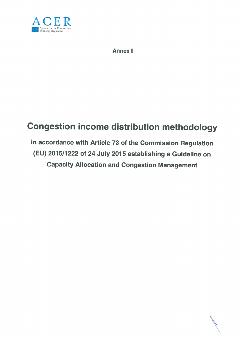

Annex I

# Congestion income distribution methodology

# in accordance with Article <sup>73</sup> of the Commission Regulation (EU) 2015/1222 of <sup>24</sup> July <sup>2015</sup> establishing <sup>a</sup> Guideline on Capacity Allocation and Congestion Management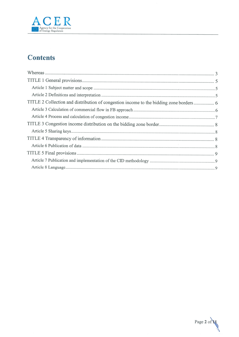

# **Contents**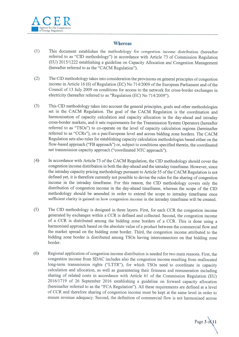

# **Whereas**

- (1) This document establishes the methodology for congestion income distribution (hereafter referred to as "CD methodology") in accordance with Article <sup>73</sup> of Commission Regulation (EU) 2015/1222 establishing <sup>a</sup> guideline on Capacity Allocation and Congestion Management (hereafter referred to as the "CACM Regulation").
- (2) The CD methodology takes into consideration the provisions on genera<sup>l</sup> principles of congestion income in Article 16 (6) of Regulation (EC) No 714/2009 of the European Parliament and of the Council of 13 July 2009 on conditions for access to the network for cross-border exchanges in electricity (hereafter referred to as "Regulation (EC) No 714/2009").
- (3) This CD methodology takes into account the genera<sup>l</sup> principles, goals and other methodologies set in the CACM Regulation. The goa<sup>l</sup> of the CACM Regulation is the coordination and harmonisation of capacity calculation and capacity allocation in the day-ahead and intraday cross-border markets, and it sets requirements for the Transmission System Operators (hereafter referred to as "TSOs") to co-operate on the level of capacity calculation regions (hereinafter referred to as "CCRs"), on <sup>a</sup> pan-European level and across bidding zone borders. The CACM Regulation sets also rules for establishing capacity calculation methodologies based either on the flow-based approac<sup>h</sup> ("FB approach") or, subject to conditions specified therein, the coordinated net transmission capacity approac<sup>h</sup> ("coordinated NTC approach").
- (4) Tn accordance with Article <sup>73</sup> of the CACM Regulation, the CD methodology should cover the congestion income distribution in both the day-ahead and the intraday timeframe. However, since the intraday capacity pricing methodology pursuant to Article 55 of the CACM Regulation is not defined yet, it is therefore currently not possible to devise the rules for the sharing of congestion income in the intraday timeframe. For this reason, the CD methodology covers only the distribution of congestion income in the day-ahead timeframe, whereas the scope of the CD methodology should be amended in order to extend the scope to intraday timeframe once sufficient clarity is gained on how congestion income in the intraday timeframe will be created.
- (5) The CD methodology is designed in three layers. First, for each CCR the congestion income generated by exchanges within <sup>a</sup> CCR is defined and collected. Second, the congestion income of <sup>a</sup> CCR is distributed among the bidding zone borders of <sup>a</sup> CCR. This is done using <sup>a</sup> harmonised approac<sup>h</sup> based on the absolute value of <sup>a</sup> product between the commercial flow and the market sprea<sup>d</sup> on the bidding zone border. Third, the congestion income attributed to the bidding zone border is distributed among TSOs having interconnectors on that bidding zone border.
- (6) Regional application of congestion income distribution is needed for two main reasons. First, the congestion income from SDAC includes also the congestion income resulting from reallocated long-term transmission rights ("LTTR"), for which TSOs need to coordinate in capacity calculation and allocation, as well as guaranteeing their firmness and remuneration including sharing of related costs in accordance with Article <sup>61</sup> of the Commission Regulation (EU) 2016/1719 of <sup>26</sup> September <sup>2016</sup> establishing <sup>a</sup> guideline on forward capacity allocation (hereinafter referred to as the "FCA Regulation"). All these requirements are defined at <sup>a</sup> level of CCR and therefore sharing of congestion income must be kept at the same level in order to ensure revenue adequacy. Second, the definition of commercial flow is not harmonised across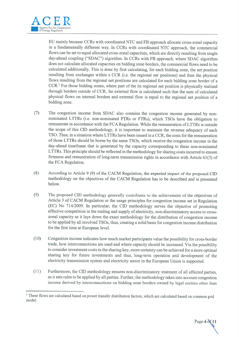

EU mainly because CCRs with coordinated NTC and FB approac<sup>h</sup> allocate cross-zonal capacity in <sup>a</sup> fundamentally different way. In CCRs with coordinated NTC approach, the commercial flows can be set to equa<sup>l</sup> allocated cross-zonal capacities, which are directly resulting from single day-ahead coupling ("SDAC") algorithm. In CCRs with FB approach, where SDAC algorithm does not calculate allocated capacities on bidding zone borders, the commercial flows need to be calculated additionally. This is done by first calculating, for each bidding zone, the net position resulting from exchanges within <sup>a</sup> CCR (i.e. the regional net positions) and then the <sup>p</sup>hysical flows resulting from the regional net positions are calculated for each bidding zone border of <sup>a</sup>  $CCR<sup>1</sup>$  For those bidding zones, where part of the its regional net position is physically realised through borders outside of CCR, the external flow is calculated such that the sum of calculated <sup>p</sup>hysical flows on internal borders and external flow is equa<sup>l</sup> to the regional net position of <sup>a</sup> bidding zone.

- (7) The congestion income from SDAC also contains the congestion income generated by nonnominated LTTRs (i.e. non-nominated PTRs or FTRs), which TSOs have the obligation to remunerate in accordance with the FCA Regulation. While the remuneration of LTTRs is outside the scope of this CID methodology, it is important to maintain the revenue adequacy of each TSO. Thus, in a situation where LTTRs have been issued in a CCR, the costs for the remuneration of those LTTRs should be borne by the same TSOs, which receive the congestion income in the day-ahead timeframe that is generated by the capacity corresponding to these non-nominated LTTRs. This principle should be reflected in the methodology for sharing costs incurred to ensure firmness and remuneration of long-term transmission rights in accordance with Article 61(3) of the FCA Regulation.
- (8) According to Article <sup>9</sup> (9) of the CACM Regulation, the expected impact of the propose<sup>d</sup> CD methodology on the objectives of the CACM Regulation has to be described and is presented below.
- (9) The propose<sup>d</sup> CD methodology generally contributes to the achievement of the objectives of Article <sup>3</sup> of CACM Regulation or the usage principles for congestion income set in Regulation (EC) No 714/2009. In particular, the CD methodology serves the objective of promoting effective competition in the trading and supply of electricity, non-discriminatory access to crosszonal capacity as it lays down the exact methodology for the distribution of congestion income to be applied by all involved TSOs, thus, creating <sup>a</sup> solid basis for congestion income distribution for the first time at European level.
- (10) Congestion income indicates how much market participants value the possibility for cross-border trade, how interconnections are used and where capacity should be increased. Via the possibility to consider investment costs in the sharing key, more certainty can be achieved for <sup>a</sup> more optimal sharing key for future investments and thus, long-term operation and development of the electricity transmission system and electricity sector in the European Union is supported.
- (1 1) Furthermore, the CD methodology ensures non-discriminatory treatment of all affected parties, as it sets rules to be applied by all parties. Further, the methodology takes into account congestion income derived by interconnections on bidding zone borders owned by legal entities other than

<sup>&</sup>lt;sup>1</sup> These flows are calculated based on power transfer distribution factors, which are calculated based on common grid model.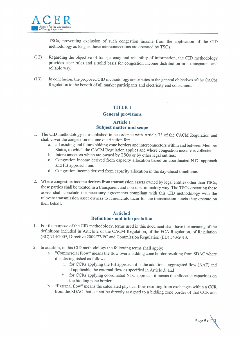

TSOs, preventing exclusion of such congestion income from the application of the CID methodology as long as these interconnections are operated by ISOs.

- (12) Regarding the objective of transparency and reliability of information, the CD methodology provides clear rules and <sup>a</sup> solid basis for congestion income distribution in <sup>a</sup> transparent and reliable way.
- (13) In conclusion, the proposed CD methodology contributes to the general objectives ofthe CACM Regulation to the benefit of all market participants and electricity end consumers.

# TITLE 1

#### General provisions

# Article 1 Subject matter and scope

- 1. The CID methodology is established in accordance with Article 73 of the CACM Regulation and shall cover the congestion income distribution for:
	- a. all existing and future bidding zone borders and interconnectors within and between Member States, to which the CACM Regulation applies and where congestion income is collected;
	- b. Interconnectors which are owned by TSOs or by other legal entities;
	- c. Congestion income derived from capacity allocation based on coordinated NTC approach and FB approach; and
	- d. Congestion income derived from capacity allocation in the day-ahead timeframe.
- 2. Where congestion income derives from transmission assets owned by legal entities other than TSOs, these parties shall be treated in <sup>a</sup> transparent and non-discriminatory way. The TSOs operating these assets shall conclude the necessary agreements compliant with this CD methodology with the relevant transmission asset owners to remunerate them for the transmission assets they operate on their behalf.

#### Article 2 Definitions and interpretation

- 1. For the purpose of the CID methodology, terms used in this document shall have the meaning of the definitions included in Article <sup>2</sup> of the CACM Regulation, of the FCA Regulation, of Regulation (EC) 714/2009, Directive 2009/72/EC and Commission Regulation (EU) 543/2013.
- 2. In addition, in this CID methodology the following terms shall apply:
	- a. "Commercial Flow" means the flow over <sup>a</sup> bidding zone border resulting from SDAC where it is distinguished as follows:
		- i. for CCRs applying the FB approach it is the additional aggregated flow (AAF) and if applicable the external flow as specified in Article 3; and
		- ii. for CCRs applying coordinated NTC approach it means the allocated capacities on the bidding zone border.
	- b. "External flow" means the calculated <sup>p</sup>hysical flow resulting from exchanges within <sup>a</sup> CCR from the SDAC that cannot be directly assigned to <sup>a</sup> bidding zone border of that CCR and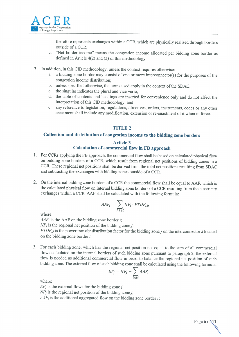

therefore represents exchanges within <sup>a</sup> CCR, which are <sup>p</sup>hysically realised through borders outside of <sup>a</sup> CCR;

- c. "Net border income" means the congestion income allocated per bidding zone border as defined in Article  $4(2)$  and  $(3)$  of this methodology.
- 3. Jn addition, in this CID methodology, unless the context requires otherwise:
	- a. <sup>a</sup> bidding zone border may consist of one or more interconnector(s) for the purposes of the congestion income distribution;
	- b. unless specified otherwise, the terms used apply in the context of the SDAC;
	- c. the singular indicates the plural and vice versa;
	- d. the table of contents and headings are inserted for convenience only and do not affect the interpretation of this CID methodology; and
	- e. any reference to legislation, regulations, directives, orders, instruments, codes or any other enactment shall include any modification, extension or re-enactment of it when in force.

# TITLE 2

# Collection and distribution of congestion income to the bidding zone borders

# Article 3 Calculation of commercial flow in FB approach

- <sup>1</sup> . For CCRs applying the FB approach, the commercial flow shall be based on calculated <sup>p</sup>hysical flow on bidding zone borders of <sup>a</sup> CCR, which result from regional net positions of bidding zones in <sup>a</sup> CCR. These regional net positions shall be derived from the total net positions resulting from SDAC and subtracting the exchanges with bidding zones outside of <sup>a</sup> CCR.
- 2. On the internal bidding zone borders of <sup>a</sup> CCR the commercial flow shall be equal to AAF, which is the calculated <sup>p</sup>hysical flow on internal bidding zone borders of <sup>a</sup> CCR resulting from the electricity exchanges within <sup>a</sup> CCR. AAF shall be calculated with the following formula:

$$
AAF_i = \sum_{j,k \in i} NP_j \cdot PTDF_{j,k}
$$

where:

 $AAF_i$  is the AAF on the bidding zone border *i*;

 $NP_i$  is the regional net position of the bidding zone *j*;

 $PTDF_{j,k}$  is the power transfer distribution factor for the bidding zone j on the interconnector k located on the bidding zone border i.

<sup>3</sup> . For each bidding zone, which has the regional net position not equal to the sum of all commercial flows calculated on the internal borders of such bidding zone pursuant to paragraph 2, the external flow is needed as additional commercial flow in order to balance the regional net position of such bidding zone. The external flow of such bidding zone shall be calculated using the following formula:

$$
EF_j = NP_j - \sum_{i \in M} AAF_i
$$

where:

 $EF_i$  is the external flows for the bidding zone *i*;

 $NP_j$  is the regional net position of the bidding zone *i*;

 $AAF_i$  is the additional aggregated flow on the bidding zone border *i*;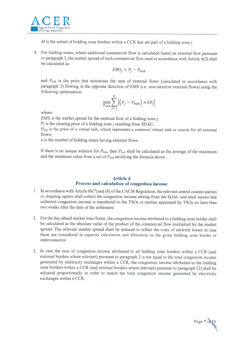

 $M$  is the subset of bidding zone borders within a CCR that are part of a bidding zone j.

4. For bidding zones, where additional commercial flow is calculated based on external flow pursuant to paragraph 3, the market spread of such commercial flow used in accordance with Article  $4(2)$  shall be calculated as:

$$
EMS_j = P_j - P_{hub}
$$

and  $P_{hub}$  is the price that minimises the sum of external flows (calculated in accordance with paragraph 3) flowing in the opposite direction of EMS (i.e. non-intuitive external flows) using the following optimisation:

$$
\min_{P_{hub}} \sum_{j=1}^{n} \left| \left( P_j - P_{hub} \right) \times EF_j \right|
$$

where:

 $EMS<sub>j</sub>$  is the market spread for the external flow of a bidding zone *i*;

 $P_j$  is the clearing price of a bidding zone *j* resulting from SDAC;

 $P_{hub}$  is the price of a virtual hub, which represents a common virtual sink or source for all external flows;

 $n$  is the number of bidding zones having external flows.

If there is no unique solution for  $P_{hub}$ , then  $P_{hub}$  shall be calculated as the average of the maximum and the minimum value from a set of  $P_{hub}$  satisfying the formula above.

# Article 4 Process and calculation of congestion income

- 1. In accordance with Article 68(7) and (8) of the CACM Regulation, the relevant central counter parties or shipping agents shall collect the congestion income arising from the SDAC and shall ensure that collected congestion income is transferred to the TSOs or entities appointed by TSOs no later than two weeks after the date of the settlement.
- 2. For the day-ahead market time-frame, the congestion income attributed to <sup>a</sup> bidding zone border shall be calculated as the absolute value of the product of the commercial flow multiplied by the market spread. The relevant market spread shall be reduced to reflect the costs of network losses in case these are considered in capacity calculation and allocation on the <sup>g</sup>iven bidding zone border or interconnector.
- 3. In case the sum of congestion income attributed to all bidding zone borders within <sup>a</sup> CCR (and external borders where relevant) pursuant to paragraph <sup>2</sup> is not equal to the total congestion income generated by electricity exchanges within <sup>a</sup> CCR, the congestion income attributed to the bidding zone borders within <sup>a</sup> CCR (and external borders where relevant) pursuant to paragraph (2) shall be adjusted proportionally in order to match the total congestion income generated by electricity exchanges within <sup>a</sup> CCR.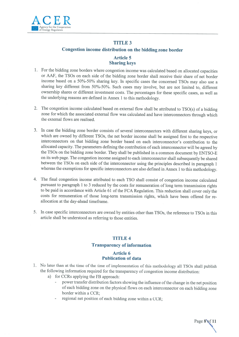

# TITLE 3

# Congestion income distribution on the bidding zone border

# Article 5 Sharing keys

- <sup>1</sup> . For the bidding zone borders where congestion income was calculated based on allocated capacities or AAF, the TSOs on each side of the bidding zone border shall receive their share of net border income based on <sup>a</sup> 50%-50% sharing key. In specific cases the concerned TSOs may also use <sup>a</sup> sharing key different from 50%-50%. Such cases may involve, but are not limited to, different ownership shares or different investment costs. The percentages for these specific cases, as well as the underlying reasons are defined in Annex <sup>1</sup> to this methodology.
- 2. The congestion income calculated based on external flow shall be attributed to TSO(s) of <sup>a</sup> bidding zone for which the associated external flow was calculated and have interconnectors through which the external flows are realised.
- <sup>3</sup> . In case the bidding zone border consists of several interconnectors with different sharing keys, or which are owned by different TSOs, the net border income shall be assigned first to the respective interconnectors on that bidding zone border based on each interconnector's contribution to the allocated capacity. The parameters defining the contribution of each interconnector will be agreed by the TSOs on the bidding zone border. They shall be published in <sup>a</sup> common document by ENTSO-E on its web page. The congestion income assigned to each interconnector shall subsequently be shared between the TSOs on each side of the interconnector using the principles described in paragraph <sup>1</sup> whereas the exemptions for specific interconnectors are also defined in Annex <sup>1</sup> to this methodology.
- 4. The final congestion income attributed to each TSO shall consist of congestion income calculated pursuant to paragraph <sup>1</sup> to <sup>3</sup> reduced by the costs for remuneration of long term transmission rights to be paid in accordance with Article <sup>61</sup> of the FCA Regulation. This reduction shall cover only the costs for remuneration of those long-term transmission rights, which have been offered for re allocation at the day-ahead timeframe.
- <sup>5</sup> . In case specific interconnectors are owned by entities other than TSOs, the reference to TSOs in this article shall be understood as referring to those entities.

# TITLE 4

# Transparency of information

# Article 6 Publication of data

- <sup>1</sup> . No later than at the time of the time of implementation of this methodology all TSOs shall publish the following information required for the transparency of congestion income distribution:
	- a) for CCRs applying the FB approach:
		- power transfer distribution factors showing the influence of the change in the net position of each bidding zone on the <sup>p</sup>hysical flows on each interconnector on each bidding zone border within <sup>a</sup> CCR;
		- regional net position of each bidding zone within a CCR;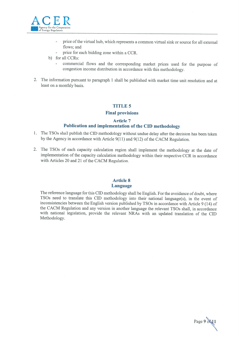

- $\overline{a}$ price of the virtual hub, which represents a common virtual sink or source for all external flows; and
- price for each bidding zone within <sup>a</sup> CCR.
- b) for all CCRs:
	- commercial flows and the corresponding market prices used for the purpose of congestion income distribution in accordance with this methodology.
- 2. The information pursuant to paragraph <sup>1</sup> shall be published with market time unit resolution and at least on <sup>a</sup> monthly basis.

### TITLE 5

#### Final provisions

#### Article 7

### Publication and implementation of the CID methodology

- 1. The TSOs shall publish the CID methodology without undue delay after the decision has been taken by the Agency in accordance with Article  $9(11)$  and  $9(12)$  of the CACM Regulation.
- 2. The TSOs of each capacity calculation region shall implement the methodology at the date of implementation of the capacity calculation methodology within their respective CCR in accordance with Articles 20 and 21 of the CACM Regulation.

#### Article 8 Language

The reference language for this CID methodology shall be English. For the avoidance of doubt, where T\$Os need to translate this CD methodology into their national language(s), in the event of inconsistencies between the English version published by TSOs in accordance with Article 9 (14) of the CACM Regulation and any version in another language the relevant TSOs shall, in accordance with national legislation, provide the relevant NRAs with an updated translation of the CID Methodology.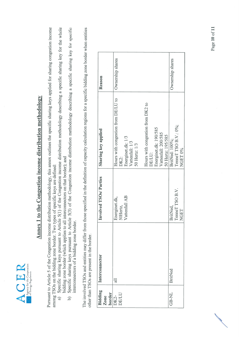

# **Annex 1 to the Congestion income distribution methodology** Annex 1 to the Congestion income distribution methodology

Pursuant to Article 5 of the Congestion income distribution methodology, this annex outlines the specific sharing keys applied for sharing congestion income Pursuant to Article 5 of the Congestion income distribution methodology, this annex outlines the specific sharing keys applied for sharing congestion income among TSOs on the bidding zone border. Two types of specific keys are defined: among TSOs on the bidding zone border. Two types of specific keys are defined:

- Specific sharing keys pursuant to Article 5(1) of the Congestion income distribution methodology describing a specific sharing key for the whole a) Specific sharing keys pursuant to Article 5(1) of the Congestion income distribution methodology describing a specific sharing key for the whole bidding zone border (which applies to all interconnectors on that border); and bidding zone border (which applies to all interconnectors on that border); and  $\widehat{a}$ 
	- Specific sharing keys pursuant to Article 5(3) of the Congestion income distribution methodology describing a specific sharing key for specific b) Specific sharing keys pursuant to Article 5(3) of the Congestion income distribution methodology describing a specific sharing key for specific interconnectors of a bidding zone border. interconnectors of a bidding zone border.  $\Theta$

The involved TSOs and entities may differ from those specified in the definition of capacity calculation regions for a specific bidding zone border when entities The involved TSOs and entities may differ from those specified in the definition of capacity calculation regions for a specific bidding zone border when entities other than TSOs are present in the border. other than TSOs are present in the border.

|       | $\begin{tabular}{ l c } \hline Bidding & Interconnector \\ \hline \textit{Zone} & \\ border \\ \hline DK2- & \textit{all} & \\ \hline DE/LU & \textit{all} & \\ \hline \end{tabular}$ | Involved TSO <sub>s</sub> /Parties         | Sharing key applied                                              | <b>Reason</b>    |
|-------|---------------------------------------------------------------------------------------------------------------------------------------------------------------------------------------|--------------------------------------------|------------------------------------------------------------------|------------------|
|       |                                                                                                                                                                                       | Vattenfall AB<br>Energinet.dk,<br>50Hertz, | Hours with congestion from DE/LU to<br>Energinet.dk: 1/3<br>DK2: | Ownership shares |
|       |                                                                                                                                                                                       |                                            | Vattenfall: 1/3<br>50 Hertz: 1/3                                 |                  |
|       |                                                                                                                                                                                       |                                            | Hours with congestion from DK2 to<br>DE/LU:                      |                  |
|       |                                                                                                                                                                                       |                                            | Energinet.dk: 190/585                                            |                  |
|       |                                                                                                                                                                                       |                                            | Vattenfall: 200/585                                              |                  |
|       |                                                                                                                                                                                       |                                            | 50 Hertz: 195/585                                                |                  |
| GB-NL | <b>BritNed</b>                                                                                                                                                                        | BritNed,                                   | BritNed: 100%;                                                   | Ownership shares |
|       |                                                                                                                                                                                       | TenneT TSO B.V.                            | TenneT TSO B.V.: 0%;                                             |                  |
|       |                                                                                                                                                                                       | NGET                                       | NGET 0%                                                          |                  |

and the contract of the contract of the contract of the contract of the contract of the contract of the contract of the contract of the contract of the contract of the contract of the contract of the contract of the contra